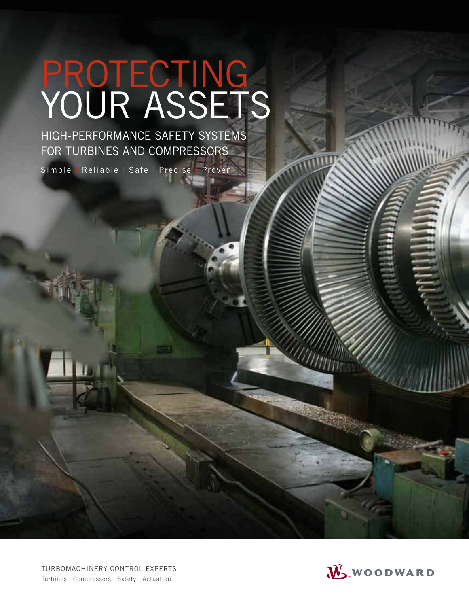# PROTECTING<br>YOUR ASSETS

HIGH-PERFORMANCE SAFETY SYSTEMS FOR TURBINES AND COMPRESSORS

Simple Reliable Safe Precise Proven

TURBOMACHINERY CONTROL EXPERTS Turbines | Compressors | Safety | Actuation

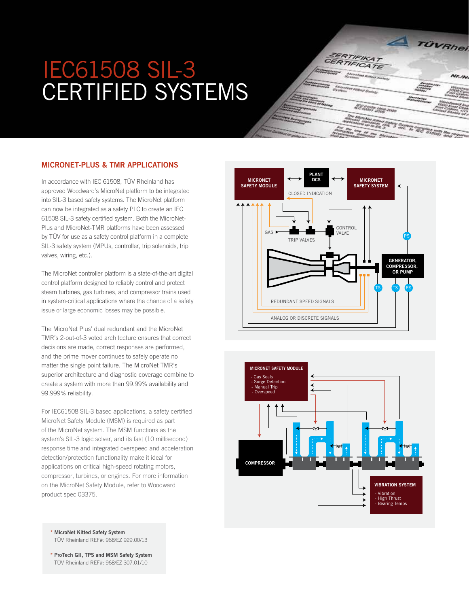# IEC61508 SIL-3 CErtIfIEd SyStEmS



In accordance with IEC 61508, TÜV Rheinland has approved Woodward's MicroNet platform to be integrated into SIL-3 based safety systems. The MicroNet platform can now be integrated as a safety PLC to create an IEC 61508 SIL-3 safety certified system. Both the MicroNet-Plus and MicroNet-TMR platforms have been assessed by TÜV for use as a safety control platform in a complete SIL-3 safety system (MPUs, controller, trip solenoids, trip valves, wiring, etc.).

The MicroNet controller platform is a state-of-the-art digital control platform designed to reliably control and protect steam turbines, gas turbines, and compressor trains used in system-critical applications where the chance of a safety issue or large economic losses may be possible.

The MicroNet Plus' dual redundant and the MicroNet TMR's 2-out-of-3 voted architecture ensures that correct decisions are made, correct responses are performed, and the prime mover continues to safely operate no matter the single point failure. The MicroNet TMR's superior architecture and diagnostic coverage combine to create a system with more than 99.99% availability and 99.999% reliability.

For IEC61508 SIL-3 based applications, a safety certified MicroNet Safety Module (MSM) is required as part of the MicroNet system. The MSM functions as the system's SIL-3 logic solver, and its fast (10 millisecond) response time and integrated overspeed and acceleration detection/protection functionality make it ideal for applications on critical high-speed rotating motors, compressor, turbines, or engines. For more information on the MicroNet Safety Module, refer to Woodward product spec 03375.

\* MicroNet Kitted safety system TÜV Rheinland REF#: 968/EZ 929.00/13

\* Protech Gii, tPs and MsM safety system TÜV Rheinland REF#: 968/EZ 307.01/10





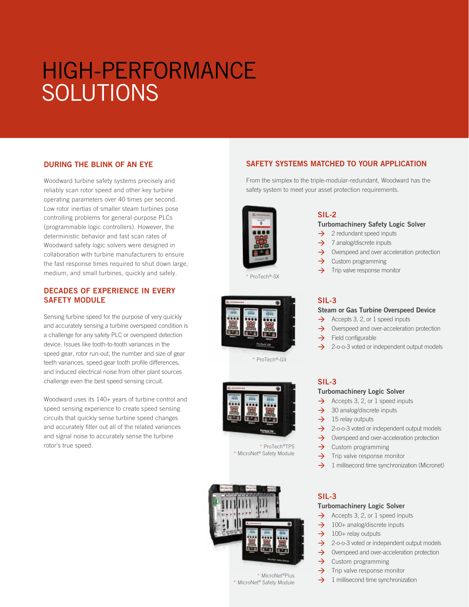# HIGH-PErfOrmANCE **SOLUTIONS**

#### DuriNG tHe BliNK oF AN eYe

Woodward turbine safety systems precisely and reliably scan rotor speed and other key turbine operating parameters over 40 times per second. Low rotor inertias of smaller steam turbines pose controlling problems for general-purpose PLCs (programmable logic controllers). However, the deterministic behavior and fast scan rates of Woodward safety logic solvers were designed in collaboration with turbine manufacturers to ensure the fast response times required to shut down large, medium, and small turbines, quickly and safely.

#### DECADES OF EXPERIENCE IN EVERY sAFetY MoDule

Sensing turbine speed for the purpose of very quickly and accurately sensing a turbine overspeed condition is a challenge for any safety PLC or overspeed detection device. Issues like tooth-to-tooth variances in the speed gear, rotor run-out, the number and size of gear teeth variances, speed-gear tooth profile differences, and induced electrical noise from other plant sources challenge even the best speed sensing circuit.

Woodward uses its 140+ years of turbine control and speed sensing experience to create speed sensing circuits that quickly sense turbine speed changes and accurately filter out all of the related variances and signal noise to accurately sense the turbine rotor's true speed.

## SAFETY SYSTEMS MATCHED TO YOUR APPLICATION

From the simplex to the triple-modular-redundant, Woodward has the safety system to meet your asset protection requirements.





\* ProTech®-SX



\* ProTech®-GII



\* ProTech®TPS \* MicroNet® Safety Module



\* MicroNet®Plus \* MicroNet® Safety Module

# sil-2

#### **Turbomachinery Safety Logic Solver**

- $\rightarrow$  2 redundant speed inputs
- $\rightarrow$  7 analog/discrete inputs
- $\rightarrow$  Overspeed and over acceleration protection
- $\rightarrow$  Custom programming
- $\rightarrow$  Trip valve response monitor

### sil-3

#### Steam or Gas Turbine Overspeed Device

- $\rightarrow$  Accepts 3, 2, or 1 speed inputs
- $\rightarrow$  Overspeed and over-acceleration protection
- $\rightarrow$  Field configurable
- $\rightarrow$  2-o-o-3 voted or independent output models

#### sil-3

#### **Turbomachinery Logic Solver**

- $\rightarrow$  Accepts 3, 2, or 1 speed inputs
- $\rightarrow$  30 analog/discrete inputs
- $\rightarrow$  15 relay outputs
- $\rightarrow$  2-o-o-3 voted or independent output models
- $\rightarrow$  Overspeed and over-acceleration protection
- $\rightarrow$  Custom programming
- $\rightarrow$  Trip valve response monitor
- $\rightarrow$  1 millisecond time synchronization (Micronet)

## sil-3

#### **Turbomachinery Logic Solver**

- $\rightarrow$  Accepts 3, 2, or 1 speed inputs
- $\rightarrow$  100+ analog/discrete inputs
- $\rightarrow$  100+ relay outputs
- $\rightarrow$  2-o-o-3 voted or independent output models
- $\rightarrow$  Overspeed and over-acceleration protection
- $\rightarrow$  Custom programming
- $\rightarrow$  Trip valve response monitor
- $\rightarrow$  1 millisecond time synchronization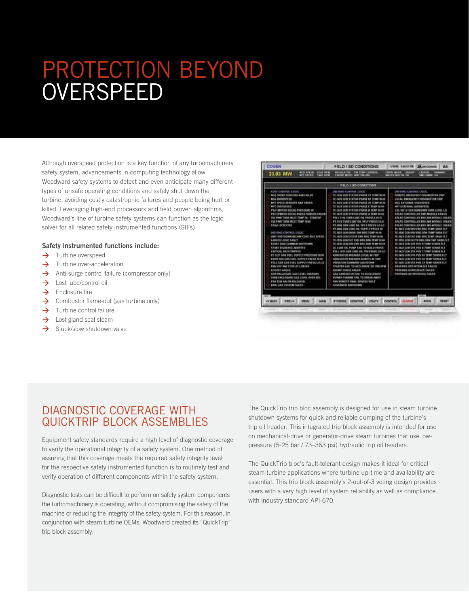# PROTECTION BEYOND **OVERSPEED**

Although overspeed protection is a key function of any turbomachinery safety system, advancements in computing technology allow Woodward safety systems to detect and even anticipate many different types of unsafe operating conditions and safely shut down the turbine, avoiding costly catastrophic failures and people being hurt or killed. Leveraging high-end processors and field proven algorithms, Woodward's line of turbine safety systems can function as the logic solver for all related safety instrumented functions (SIFs).

#### safety instrumented functions include:

- $\rightarrow$  Turbine overspeed
- $\rightarrow$  Turbine over-acceleration
- $\rightarrow$  Anti-surge control failure (compressor only)
- $\rightarrow$  Lost lube/control oil
- $\rightarrow$  Enclosure fire
- $\rightarrow$  Combustor flame-out (gas turbine only)
- $\rightarrow$  Turbine control failure
- $\rightarrow$  Lost gland seal steam
- $\rightarrow$  Stuck/slow shutdown valve



## DIAGNOSTIC COVERAGE WITH QUICKtrIP BLOCK ASSEmBLIES

Equipment safety standards require a high level of diagnostic coverage to verify the operational integrity of a safety system. One method of assuring that this coverage meets the required safety integrity level for the respective safety instrumented function is to routinely test and verify operation of different components within the safety system.

Diagnostic tests can be dificult to perform on safety system components the turbomachinery is operating, without compromising the safety of the machine or reducing the integrity of the safety system. For this reason, in conjunction with steam turbine OEMs, Woodward created its "QuickTrip" trip block assembly.

The QuickTrip trip bloc assembly is designed for use in steam turbine shutdown systems for quick and reliable dumping of the turbine's trip oil header. This integrated trip block assembly is intended for use on mechanical-drive or generator-drive steam turbines that use lowpressure (5-25 bar / 73–363 psi) hydraulic trip oil headers.

The QuickTrip bloc's fault-tolerant design makes it ideal for critical steam turbine applications where turbine up-time and availability are essential. This trip block assembly's 2-out-of-3 voting design provides users with a very high level of system reliability as well as compliance with industry standard API-670.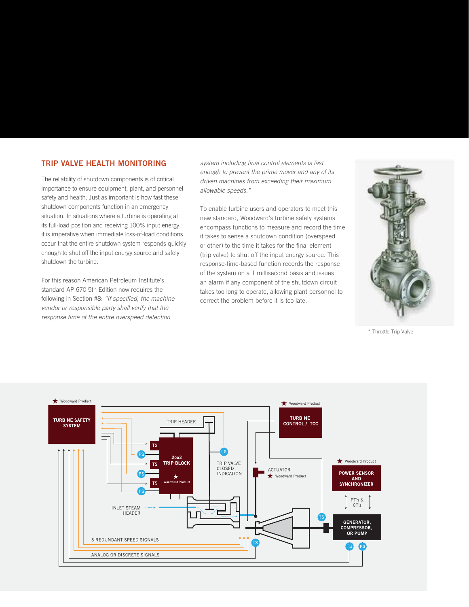#### TRIP VAlVe HeAltH MoNitoriNG

The reliability of shutdown components is of critical importance to ensure equipment, plant, and personnel safety and health. Just as important is how fast these shutdown components function in an emergency situation. In situations where a turbine is operating at its full-load position and receiving 100% input energy, it is imperative when immediate loss-of-load conditions occur that the entire shutdown system responds quickly enough to shut off the input energy source and safely shutdown the turbine.

For this reason American Petroleum Institute's standard API670 5th Edition now requires the following in Section #8: "If specified, the machine vendor or responsible party shall verify that the response time of the entire overspeed detection

system including final control elements is fast enough to prevent the prime mover and any of its driven machines from exceeding their maximum allowable speeds."

To enable turbine users and operators to meet this new standard, Woodward's turbine safety systems encompass functions to measure and record the time it takes to sense a shutdown condition (overspeed or other) to the time it takes for the final element (trip valve) to shut off the input energy source. This response-time-based function records the response of the system on a 1 millisecond basis and issues an alarm if any component of the shutdown circuit takes too long to operate, allowing plant personnel to correct the problem before it is too late.



\* Throttle Trip Valve